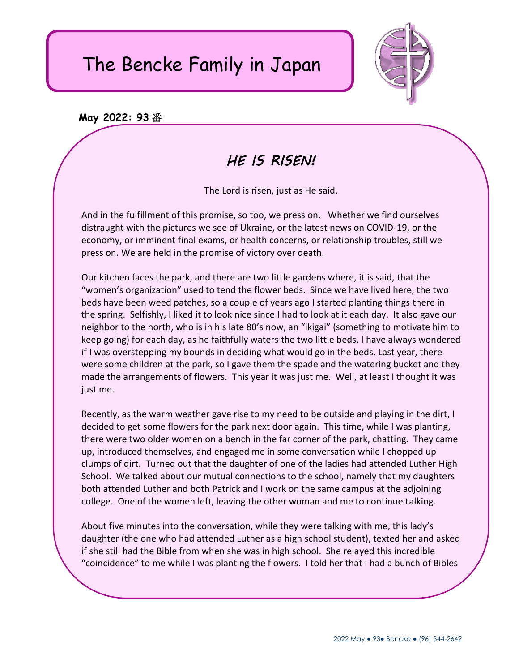## The Bencke Family in Japan



## **May 2022: 93** 番

## *HE IS RISEN!*

The Lord is risen, just as He said.

And in the fulfillment of this promise, so too, we press on. Whether we find ourselves distraught with the pictures we see of Ukraine, or the latest news on COVID-19, or the economy, or imminent final exams, or health concerns, or relationship troubles, still we press on. We are held in the promise of victory over death.

Our kitchen faces the park, and there are two little gardens where, it is said, that the "women's organization" used to tend the flower beds. Since we have lived here, the two beds have been weed patches, so a couple of years ago I started planting things there in the spring. Selfishly, I liked it to look nice since I had to look at it each day. It also gave our neighbor to the north, who is in his late 80's now, an "ikigai" (something to motivate him to keep going) for each day, as he faithfully waters the two little beds. I have always wondered if I was overstepping my bounds in deciding what would go in the beds. Last year, there were some children at the park, so I gave them the spade and the watering bucket and they made the arrangements of flowers. This year it was just me. Well, at least I thought it was just me.

Recently, as the warm weather gave rise to my need to be outside and playing in the dirt, I decided to get some flowers for the park next door again. This time, while I was planting, there were two older women on a bench in the far corner of the park, chatting. They came up, introduced themselves, and engaged me in some conversation while I chopped up clumps of dirt. Turned out that the daughter of one of the ladies had attended Luther High School. We talked about our mutual connections to the school, namely that my daughters both attended Luther and both Patrick and I work on the same campus at the adjoining college. One of the women left, leaving the other woman and me to continue talking.

About five minutes into the conversation, while they were talking with me, this lady's daughter (the one who had attended Luther as a high school student), texted her and asked if she still had the Bible from when she was in high school. She relayed this incredible "coincidence" to me while I was planting the flowers. I told her that I had a bunch of Bibles